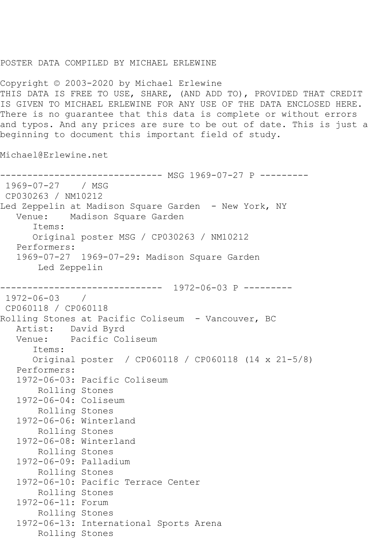## POSTER DATA COMPILED BY MICHAEL ERLEWINE

Copyright © 2003-2020 by Michael Erlewine THIS DATA IS FREE TO USE, SHARE, (AND ADD TO), PROVIDED THAT CREDIT IS GIVEN TO MICHAEL ERLEWINE FOR ANY USE OF THE DATA ENCLOSED HERE. There is no guarantee that this data is complete or without errors and typos. And any prices are sure to be out of date. This is just a beginning to document this important field of study.

Michael@Erlewine.net

------------------------------ MSG 1969-07-27 P --------- 1969-07-27 / MSG CP030263 / NM10212 Led Zeppelin at Madison Square Garden - New York, NY Venue: Madison Square Garden Items: Original poster MSG / CP030263 / NM10212 Performers: 1969-07-27 1969-07-29: Madison Square Garden Led Zeppelin ------------------------------ 1972-06-03 P --------- 1972-06-03 / CP060118 / CP060118 Rolling Stones at Pacific Coliseum - Vancouver, BC Artist: David Byrd Venue: Pacific Coliseum Items: Original poster / CP060118 / CP060118 (14 x 21-5/8) Performers: 1972-06-03: Pacific Coliseum Rolling Stones 1972-06-04: Coliseum Rolling Stones 1972-06-06: Winterland Rolling Stones 1972-06-08: Winterland Rolling Stones 1972-06-09: Palladium Rolling Stones 1972-06-10: Pacific Terrace Center Rolling Stones 1972-06-11: Forum Rolling Stones 1972-06-13: International Sports Arena Rolling Stones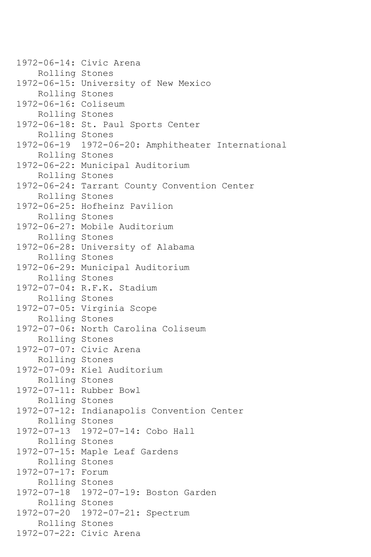1972-06-14: Civic Arena Rolling Stones 1972-06-15: University of New Mexico Rolling Stones 1972-06-16: Coliseum Rolling Stones 1972-06-18: St. Paul Sports Center Rolling Stones 1972-06-19 1972-06-20: Amphitheater International Rolling Stones 1972-06-22: Municipal Auditorium Rolling Stones 1972-06-24: Tarrant County Convention Center Rolling Stones 1972-06-25: Hofheinz Pavilion Rolling Stones 1972-06-27: Mobile Auditorium Rolling Stones 1972-06-28: University of Alabama Rolling Stones 1972-06-29: Municipal Auditorium Rolling Stones 1972-07-04: R.F.K. Stadium Rolling Stones 1972-07-05: Virginia Scope Rolling Stones 1972-07-06: North Carolina Coliseum Rolling Stones 1972-07-07: Civic Arena Rolling Stones 1972-07-09: Kiel Auditorium Rolling Stones 1972-07-11: Rubber Bowl Rolling Stones 1972-07-12: Indianapolis Convention Center Rolling Stones 1972-07-13 1972-07-14: Cobo Hall Rolling Stones 1972-07-15: Maple Leaf Gardens Rolling Stones 1972-07-17: Forum Rolling Stones 1972-07-18 1972-07-19: Boston Garden Rolling Stones 1972-07-20 1972-07-21: Spectrum Rolling Stones 1972-07-22: Civic Arena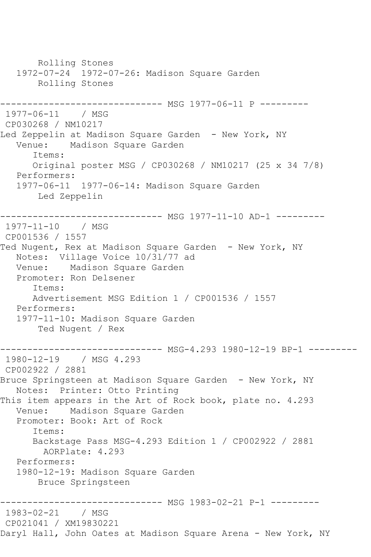Rolling Stones 1972-07-24 1972-07-26: Madison Square Garden Rolling Stones ------------------------------ MSG 1977-06-11 P --------- 1977-06-11 / MSG CP030268 / NM10217 Led Zeppelin at Madison Square Garden - New York, NY Venue: Madison Square Garden Items: Original poster MSG / CP030268 / NM10217 (25 x 34 7/8) Performers: 1977-06-11 1977-06-14: Madison Square Garden Led Zeppelin ------------------------------ MSG 1977-11-10 AD-1 --------- 1977-11-10 / MSG CP001536 / 1557 Ted Nugent, Rex at Madison Square Garden - New York, NY Notes: Village Voice l0/3l/77 ad Venue: Madison Square Garden Promoter: Ron Delsener Items: Advertisement MSG Edition 1 / CP001536 / 1557 Performers: 1977-11-10: Madison Square Garden Ted Nugent / Rex -------------- MSG-4.293 1980-12-19 BP-1 ---------1980-12-19 / MSG 4.293 CP002922 / 2881 Bruce Springsteen at Madison Square Garden - New York, NY Notes: Printer: Otto Printing This item appears in the Art of Rock book, plate no. 4.293 Venue: Madison Square Garden Promoter: Book: Art of Rock Items: Backstage Pass MSG-4.293 Edition 1 / CP002922 / 2881 AORPlate: 4.293 Performers: 1980-12-19: Madison Square Garden Bruce Springsteen ------------------------------ MSG 1983-02-21 P-1 --------- 1983-02-21 / MSG CP021041 / XM19830221 Daryl Hall, John Oates at Madison Square Arena - New York, NY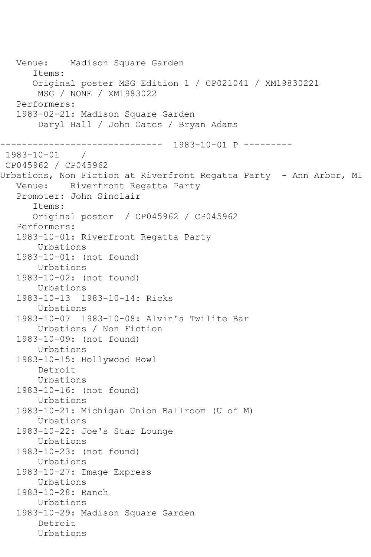Venue: Madison Square Garden Items: Original poster MSG Edition 1 / CP021041 / XM19830221 MSG / NONE / XM1983022 Performers: 1983-02-21: Madison Square Garden Daryl Hall / John Oates / Bryan Adams ------------------------------ 1983-10-01 P --------- 1983-10-01 / CP045962 / CP045962 Urbations, Non Fiction at Riverfront Regatta Party - Ann Arbor, MI Venue: Riverfront Regatta Party Promoter: John Sinclair Items: Original poster / CP045962 / CP045962 Performers: 1983-10-01: Riverfront Regatta Party Urbations 1983-10-01: (not found) Urbations 1983-10-02: (not found) Urbations 1983-10-13 1983-10-14: Ricks Urbations 1983-10-07 1983-10-08: Alvin's Twilite Bar Urbations / Non Fiction 1983-10-09: (not found) Urbations 1983-10-15: Hollywood Bowl Detroit Urbations 1983-10-16: (not found) Urbations 1983-10-21: Michigan Union Ballroom (U of M) Urbations 1983-10-22: Joe's Star Lounge Urbations 1983-10-23: (not found) Urbations 1983-10-27: Image Express Urbations 1983-10-28: Ranch Urbations 1983-10-29: Madison Square Garden Detroit Urbations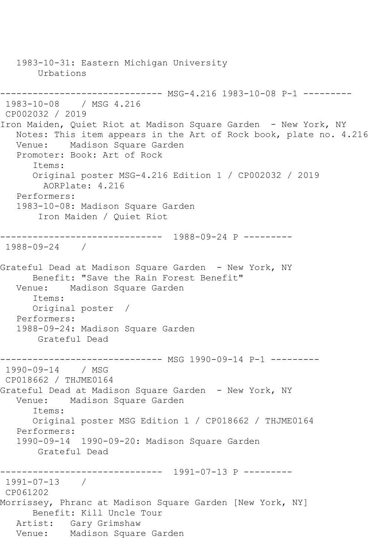1983-10-31: Eastern Michigan University Urbations ------------------------------ MSG-4.216 1983-10-08 P-1 --------- 1983-10-08 / MSG 4.216 CP002032 / 2019 Iron Maiden, Quiet Riot at Madison Square Garden - New York, NY Notes: This item appears in the Art of Rock book, plate no. 4.216 Venue: Madison Square Garden Promoter: Book: Art of Rock Items: Original poster MSG-4.216 Edition 1 / CP002032 / 2019 AORPlate: 4.216 Performers: 1983-10-08: Madison Square Garden Iron Maiden / Quiet Riot ------------------------------ 1988-09-24 P --------- 1988-09-24 / Grateful Dead at Madison Square Garden - New York, NY Benefit: "Save the Rain Forest Benefit" Venue: Madison Square Garden Items: Original poster / Performers: 1988-09-24: Madison Square Garden Grateful Dead ------------------------------ MSG 1990-09-14 P-1 --------- 1990-09-14 / MSG CP018662 / THJME0164 Grateful Dead at Madison Square Garden - New York, NY Venue: Madison Square Garden Items: Original poster MSG Edition 1 / CP018662 / THJME0164 Performers: 1990-09-14 1990-09-20: Madison Square Garden Grateful Dead ------------------------------ 1991-07-13 P --------- 1991-07-13 / CP061202 Morrissey, Phranc at Madison Square Garden [New York, NY] Benefit: Kill Uncle Tour Artist: Gary Grimshaw Venue: Madison Square Garden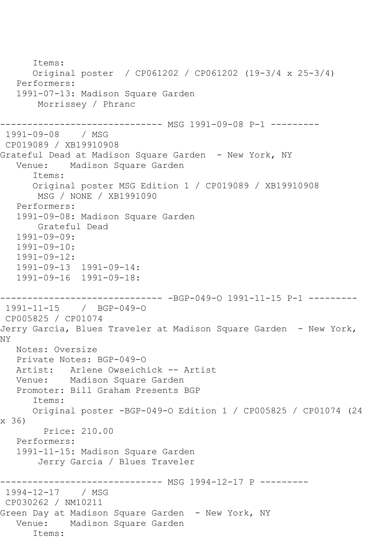```
 Items:
       Original poster / CP061202 / CP061202 (19-3/4 x 25-3/4)
    Performers:
    1991-07-13: Madison Square Garden
        Morrissey / Phranc
------------------------------ MSG 1991-09-08 P-1 ---------
1991-09-08 / MSG 
CP019089 / XB19910908
Grateful Dead at Madison Square Garden - New York, NY<br>Venue: Madison Square Garden
            Madison Square Garden
       Items:
       Original poster MSG Edition 1 / CP019089 / XB19910908
        MSG / NONE / XB1991090
   Performers:
   1991-09-08: Madison Square Garden
        Grateful Dead
    1991-09-09:
   1991-09-10:
    1991-09-12:
    1991-09-13 1991-09-14:
    1991-09-16 1991-09-18:
------------------------------ -BGP-049-O 1991-11-15 P-1 ---------
1991-11-15 / BGP-049-O
CP005825 / CP01074
Jerry Garcia, Blues Traveler at Madison Square Garden - New York, 
NY
   Notes: Oversize
   Private Notes: BGP-049-O
   Artist: Arlene Owseichick -- Artist
   Venue: Madison Square Garden
   Promoter: Bill Graham Presents BGP
       Items:
       Original poster -BGP-049-O Edition 1 / CP005825 / CP01074 (24 
x 36)
         Price: 210.00
    Performers:
    1991-11-15: Madison Square Garden
        Jerry Garcia / Blues Traveler
                   ------------ MSG 1994-12-17 P ----------
1994-12-17 / MSG 
CP030262 / NM10211
Green Day at Madison Square Garden - New York, NY
   Venue: Madison Square Garden
       Items:
```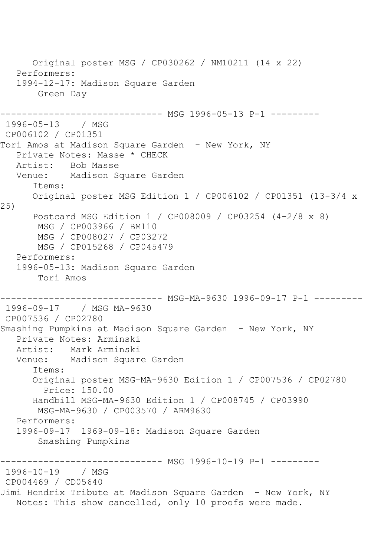Original poster MSG / CP030262 / NM10211 (14 x 22) Performers: 1994-12-17: Madison Square Garden Green Day ---------- MSG 1996-05-13 P-1 ---------1996-05-13 / MSG CP006102 / CP01351 Tori Amos at Madison Square Garden - New York, NY Private Notes: Masse \* CHECK<br>Artist: Bob Masse Artist: Bob Masse<br>Venue: Madison So Madison Square Garden Items: Original poster MSG Edition 1 / CP006102 / CP01351 (13-3/4 x 25) Postcard MSG Edition 1 / CP008009 / CP03254 (4-2/8 x 8) MSG / CP003966 / BM110 MSG / CP008027 / CP03272 MSG / CP015268 / CP045479 Performers: 1996-05-13: Madison Square Garden Tori Amos ------------------------------ MSG-MA-9630 1996-09-17 P-1 --------- 1996-09-17 / MSG MA-9630 CP007536 / CP02780 Smashing Pumpkins at Madison Square Garden - New York, NY Private Notes: Arminski Artist: Mark Arminski Venue: Madison Square Garden Items: Original poster MSG-MA-9630 Edition 1 / CP007536 / CP02780 Price: 150.00 Handbill MSG-MA-9630 Edition 1 / CP008745 / CP03990 MSG-MA-9630 / CP003570 / ARM9630 Performers: 1996-09-17 1969-09-18: Madison Square Garden Smashing Pumpkins ------------------------------ MSG 1996-10-19 P-1 --------- 1996-10-19 / MSG CP004469 / CD05640 Jimi Hendrix Tribute at Madison Square Garden - New York, NY Notes: This show cancelled, only 10 proofs were made.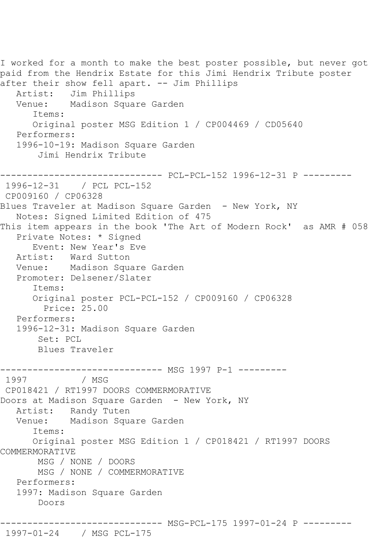```
I worked for a month to make the best poster possible, but never got 
paid from the Hendrix Estate for this Jimi Hendrix Tribute poster 
after their show fell apart. -- Jim Phillips
   Artist: Jim Phillips<br>Venue: Madison Squa
            Madison Square Garden
       Items:
       Original poster MSG Edition 1 / CP004469 / CD05640
   Performers:
    1996-10-19: Madison Square Garden
        Jimi Hendrix Tribute
         ------------------------------ PCL-PCL-152 1996-12-31 P ---------
1996-12-31 / PCL PCL-152
CP009160 / CP06328
Blues Traveler at Madison Square Garden - New York, NY
    Notes: Signed Limited Edition of 475
This item appears in the book 'The Art of Modern Rock' as AMR # 058
    Private Notes: * Signed
   Event: New Year's Eve<br>Artist: Ward Sutton
            Ward Sutton
    Venue: Madison Square Garden
    Promoter: Delsener/Slater
       Items:
       Original poster PCL-PCL-152 / CP009160 / CP06328
         Price: 25.00
   Performers:
    1996-12-31: Madison Square Garden
        Set: PCL
        Blues Traveler
------------------------------- MSG 1997 P-1 ---------<br>1997               / MSG
               / MSG
CP018421 / RT1997 DOORS COMMERMORATIVE
Doors at Madison Square Garden - New York, NY
    Artist: Randy Tuten
   Venue: Madison Square Garden
       Items:
       Original poster MSG Edition 1 / CP018421 / RT1997 DOORS 
COMMERMORATIVE
        MSG / NONE / DOORS
        MSG / NONE / COMMERMORATIVE
    Performers:
    1997: Madison Square Garden
        Doors
          ------------------------------ MSG-PCL-175 1997-01-24 P ---------
```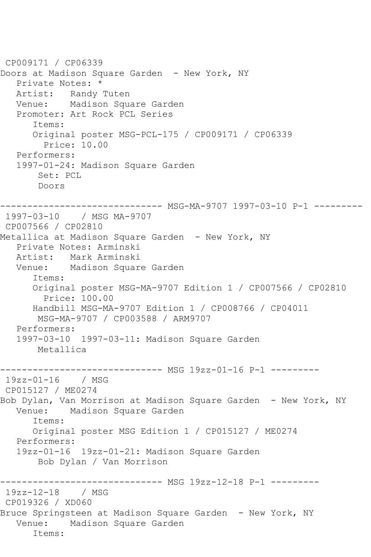CP009171 / CP06339 Doors at Madison Square Garden - New York, NY Private Notes: \* Artist: Randy Tuten Venue: Madison Square Garden Promoter: Art Rock PCL Series Items: Original poster MSG-PCL-175 / CP009171 / CP06339 Price: 10.00 Performers: 1997-01-24: Madison Square Garden Set: PCL Doors ------------------------------ MSG-MA-9707 1997-03-10 P-1 --------- 1997-03-10 / MSG MA-9707 CP007566 / CP02810 Metallica at Madison Square Garden - New York, NY Private Notes: Arminski Mark Arminski Venue: Madison Square Garden Items: Original poster MSG-MA-9707 Edition 1 / CP007566 / CP02810 Price: 100.00 Handbill MSG-MA-9707 Edition 1 / CP008766 / CP04011 MSG-MA-9707 / CP003588 / ARM9707 Performers: 1997-03-10 1997-03-11: Madison Square Garden Metallica ------------------------------ MSG 19zz-01-16 P-1 --------- 19zz-01-16 / MSG CP015127 / ME0274 Bob Dylan, Van Morrison at Madison Square Garden - New York, NY Venue: Madison Square Garden Items: Original poster MSG Edition 1 / CP015127 / ME0274 Performers: 19zz-01-16 19zz-01-21: Madison Square Garden Bob Dylan / Van Morrison ------------------------------ MSG 19zz-12-18 P-1 --------- 19zz-12-18 / MSG CP019326 / XD060 Bruce Springsteen at Madison Square Garden - New York, NY Venue: Madison Square Garden Items: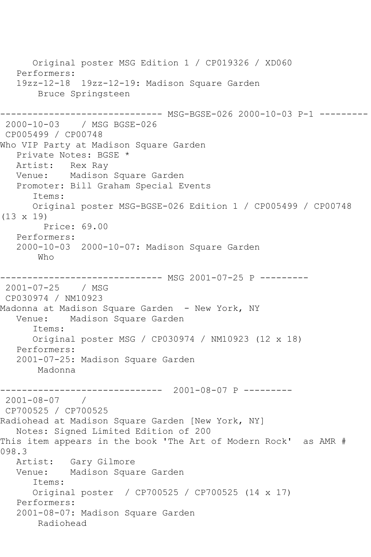Original poster MSG Edition 1 / CP019326 / XD060 Performers: 19zz-12-18 19zz-12-19: Madison Square Garden Bruce Springsteen ------------------------------ MSG-BGSE-026 2000-10-03 P-1 --------- 2000-10-03 / MSG BGSE-026 CP005499 / CP00748 Who VIP Party at Madison Square Garden Private Notes: BGSE \* Artist: Rex Ray Venue: Madison Square Garden Promoter: Bill Graham Special Events Items: Original poster MSG-BGSE-026 Edition 1 / CP005499 / CP00748 (13 x 19) Price: 69.00 Performers: 2000-10-03 2000-10-07: Madison Square Garden Who ---------- MSG 2001-07-25 P ---------2001-07-25 / MSG CP030974 / NM10923 Madonna at Madison Square Garden - New York, NY Venue: Madison Square Garden Items: Original poster MSG / CP030974 / NM10923 (12 x 18) Performers: 2001-07-25: Madison Square Garden Madonna ------------------------------ 2001-08-07 P --------- 2001-08-07 / CP700525 / CP700525 Radiohead at Madison Square Garden [New York, NY] Notes: Signed Limited Edition of 200 This item appears in the book 'The Art of Modern Rock' as AMR # 098.3<br>Artist: Gary Gilmore Venue: Madison Square Garden Items: Original poster / CP700525 / CP700525 (14 x 17) Performers: 2001-08-07: Madison Square Garden Radiohead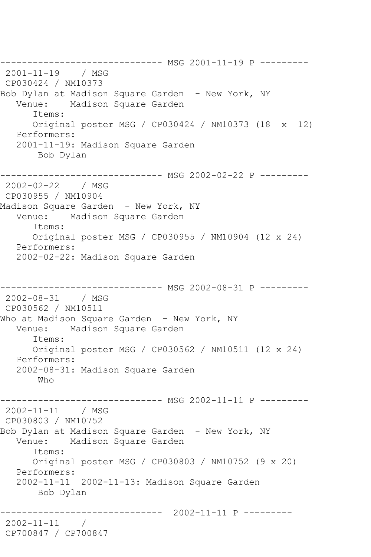------------------------------ MSG 2001-11-19 P --------- 2001-11-19 / MSG CP030424 / NM10373 Bob Dylan at Madison Square Garden - New York, NY<br>Venue: Madison Square Garden Madison Square Garden Items: Original poster MSG / CP030424 / NM10373 (18 x 12) Performers: 2001-11-19: Madison Square Garden Bob Dylan ----------------------- MSG 2002-02-22 P ---------2002-02-22 / MSG CP030955 / NM10904 Madison Square Garden - New York, NY Venue: Madison Square Garden Items: Original poster MSG / CP030955 / NM10904 (12 x 24) Performers: 2002-02-22: Madison Square Garden ------------------------------ MSG 2002-08-31 P --------- 2002-08-31 / MSG CP030562 / NM10511 Who at Madison Square Garden - New York, NY<br>Venue: Madison Square Garden Madison Square Garden Items: Original poster MSG / CP030562 / NM10511 (12 x 24) Performers: 2002-08-31: Madison Square Garden Who ------------------------------ MSG 2002-11-11 P --------- 2002-11-11 / MSG CP030803 / NM10752 Bob Dylan at Madison Square Garden - New York, NY<br>Venue: Madison Square Garden Madison Square Garden Items: Original poster MSG / CP030803 / NM10752 (9 x 20) Performers: 2002-11-11 2002-11-13: Madison Square Garden Bob Dylan ------------------------------ 2002-11-11 P --------- 2002-11-11 / CP700847 / CP700847